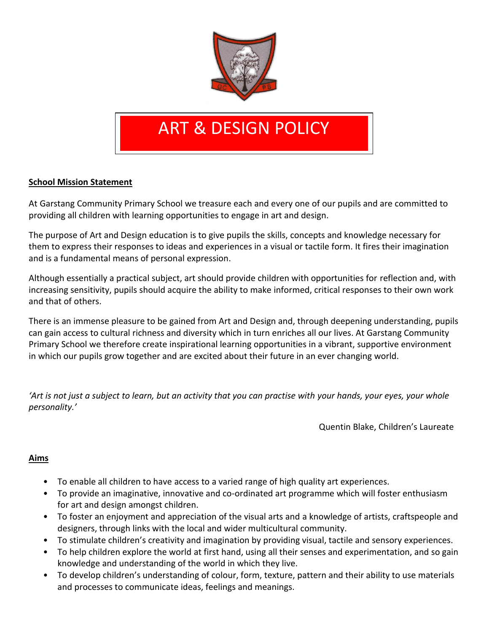

# ART & DESIGN POLICY

### **School Mission Statement**

At Garstang Community Primary School we treasure each and every one of our pupils and are committed to providing all children with learning opportunities to engage in art and design.

The purpose of Art and Design education is to give pupils the skills, concepts and knowledge necessary for them to express their responses to ideas and experiences in a visual or tactile form. It fires their imagination and is a fundamental means of personal expression.

Although essentially a practical subject, art should provide children with opportunities for reflection and, with increasing sensitivity, pupils should acquire the ability to make informed, critical responses to their own work and that of others.

There is an immense pleasure to be gained from Art and Design and, through deepening understanding, pupils can gain access to cultural richness and diversity which in turn enriches all our lives. At Garstang Community Primary School we therefore create inspirational learning opportunities in a vibrant, supportive environment in which our pupils grow together and are excited about their future in an ever changing world.

*'Art is not just a subject to learn, but an activity that you can practise with your hands, your eyes, your whole personality.'*

Quentin Blake, Children's Laureate

#### **Aims**

- To enable all children to have access to a varied range of high quality art experiences.
- To provide an imaginative, innovative and co-ordinated art programme which will foster enthusiasm for art and design amongst children.
- To foster an enjoyment and appreciation of the visual arts and a knowledge of artists, craftspeople and designers, through links with the local and wider multicultural community.
- To stimulate children's creativity and imagination by providing visual, tactile and sensory experiences.
- To help children explore the world at first hand, using all their senses and experimentation, and so gain knowledge and understanding of the world in which they live.
- To develop children's understanding of colour, form, texture, pattern and their ability to use materials and processes to communicate ideas, feelings and meanings.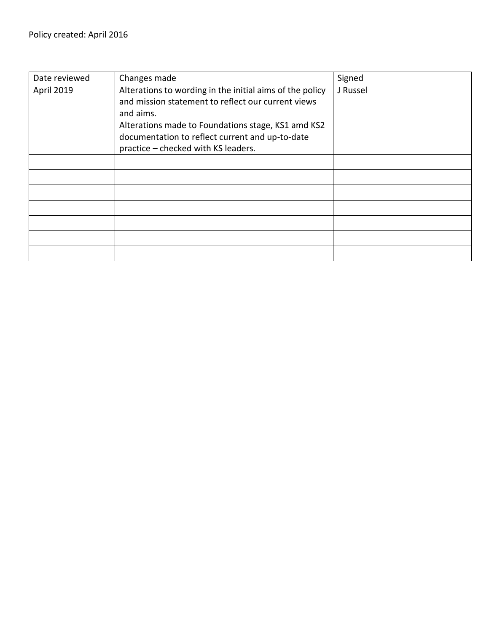| Date reviewed | Changes made                                                                                                                                                                                                                                                                | Signed   |
|---------------|-----------------------------------------------------------------------------------------------------------------------------------------------------------------------------------------------------------------------------------------------------------------------------|----------|
| April 2019    | Alterations to wording in the initial aims of the policy<br>and mission statement to reflect our current views<br>and aims.<br>Alterations made to Foundations stage, KS1 amd KS2<br>documentation to reflect current and up-to-date<br>practice - checked with KS leaders. | J Russel |
|               |                                                                                                                                                                                                                                                                             |          |
|               |                                                                                                                                                                                                                                                                             |          |
|               |                                                                                                                                                                                                                                                                             |          |
|               |                                                                                                                                                                                                                                                                             |          |
|               |                                                                                                                                                                                                                                                                             |          |
|               |                                                                                                                                                                                                                                                                             |          |
|               |                                                                                                                                                                                                                                                                             |          |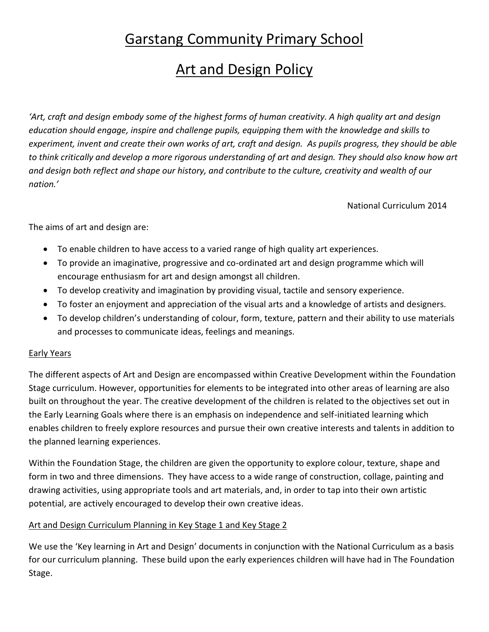# Garstang Community Primary School

# **Art and Design Policy**

*'Art, craft and design embody some of the highest forms of human creativity. A high quality art and design education should engage, inspire and challenge pupils, equipping them with the knowledge and skills to experiment, invent and create their own works of art, craft and design. As pupils progress, they should be able to think critically and develop a more rigorous understanding of art and design. They should also know how art and design both reflect and shape our history, and contribute to the culture, creativity and wealth of our nation.'*

National Curriculum 2014

The aims of art and design are:

- To enable children to have access to a varied range of high quality art experiences.
- To provide an imaginative, progressive and co-ordinated art and design programme which will encourage enthusiasm for art and design amongst all children.
- To develop creativity and imagination by providing visual, tactile and sensory experience.
- To foster an enjoyment and appreciation of the visual arts and a knowledge of artists and designers.
- To develop children's understanding of colour, form, texture, pattern and their ability to use materials and processes to communicate ideas, feelings and meanings.

#### Early Years

The different aspects of Art and Design are encompassed within Creative Development within the Foundation Stage curriculum. However, opportunities for elements to be integrated into other areas of learning are also built on throughout the year. The creative development of the children is related to the objectives set out in the Early Learning Goals where there is an emphasis on independence and self-initiated learning which enables children to freely explore resources and pursue their own creative interests and talents in addition to the planned learning experiences.

Within the Foundation Stage, the children are given the opportunity to explore colour, texture, shape and form in two and three dimensions. They have access to a wide range of construction, collage, painting and drawing activities, using appropriate tools and art materials, and, in order to tap into their own artistic potential, are actively encouraged to develop their own creative ideas.

## Art and Design Curriculum Planning in Key Stage 1 and Key Stage 2

We use the 'Key learning in Art and Design' documents in conjunction with the National Curriculum as a basis for our curriculum planning. These build upon the early experiences children will have had in The Foundation Stage.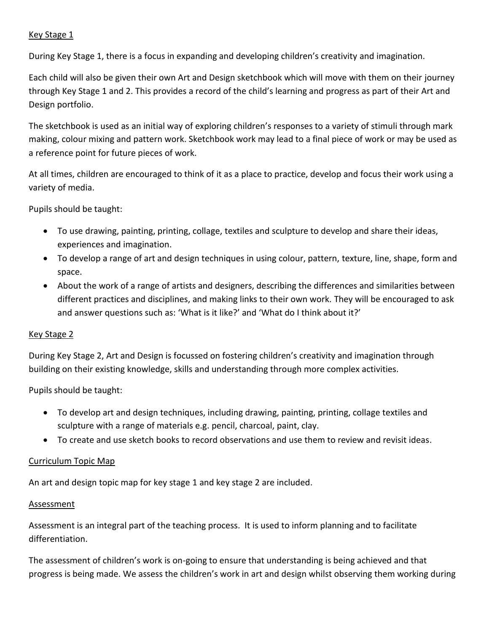#### Key Stage 1

During Key Stage 1, there is a focus in expanding and developing children's creativity and imagination.

Each child will also be given their own Art and Design sketchbook which will move with them on their journey through Key Stage 1 and 2. This provides a record of the child's learning and progress as part of their Art and Design portfolio.

The sketchbook is used as an initial way of exploring children's responses to a variety of stimuli through mark making, colour mixing and pattern work. Sketchbook work may lead to a final piece of work or may be used as a reference point for future pieces of work.

At all times, children are encouraged to think of it as a place to practice, develop and focus their work using a variety of media.

Pupils should be taught:

- To use drawing, painting, printing, collage, textiles and sculpture to develop and share their ideas, experiences and imagination.
- To develop a range of art and design techniques in using colour, pattern, texture, line, shape, form and space.
- About the work of a range of artists and designers, describing the differences and similarities between different practices and disciplines, and making links to their own work. They will be encouraged to ask and answer questions such as: 'What is it like?' and 'What do I think about it?'

#### Key Stage 2

During Key Stage 2, Art and Design is focussed on fostering children's creativity and imagination through building on their existing knowledge, skills and understanding through more complex activities.

Pupils should be taught:

- To develop art and design techniques, including drawing, painting, printing, collage textiles and sculpture with a range of materials e.g. pencil, charcoal, paint, clay.
- To create and use sketch books to record observations and use them to review and revisit ideas.

#### Curriculum Topic Map

An art and design topic map for key stage 1 and key stage 2 are included.

#### Assessment

Assessment is an integral part of the teaching process. It is used to inform planning and to facilitate differentiation.

The assessment of children's work is on-going to ensure that understanding is being achieved and that progress is being made. We assess the children's work in art and design whilst observing them working during